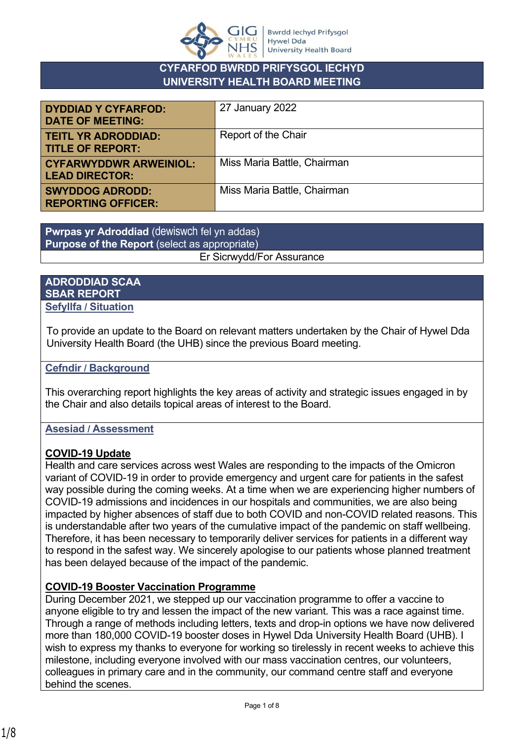

#### **CYFARFOD BWRDD PRIFYSGOL IECHYD UNIVERSITY HEALTH BOARD MEETING**

| <b>DYDDIAD Y CYFARFOD:</b><br><b>DATE OF MEETING:</b>  | 27 January 2022             |
|--------------------------------------------------------|-----------------------------|
| <b>TEITL YR ADRODDIAD:</b><br><b>TITLE OF REPORT:</b>  | Report of the Chair         |
| <b>CYFARWYDDWR ARWEINIOL:</b><br><b>LEAD DIRECTOR:</b> | Miss Maria Battle, Chairman |
| <b>SWYDDOG ADRODD:</b><br><b>REPORTING OFFICER:</b>    | Miss Maria Battle, Chairman |

**Pwrpas yr Adroddiad** (dewiswch fel yn addas) **Purpose of the Report** (select as appropriate) Er Sicrwydd/For Assurance

#### **ADRODDIAD SCAA SBAR REPORT Sefyllfa / Situation**

To provide an update to the Board on relevant matters undertaken by the Chair of Hywel Dda University Health Board (the UHB) since the previous Board meeting.

#### **Cefndir / Background**

This overarching report highlights the key areas of activity and strategic issues engaged in by the Chair and also details topical areas of interest to the Board.

#### **Asesiad / Assessment**

#### **COVID-19 Update**

Health and care services across west Wales are responding to the impacts of the Omicron variant of COVID-19 in order to provide emergency and urgent care for patients in the safest way possible during the coming weeks. At a time when we are experiencing higher numbers of COVID-19 admissions and incidences in our hospitals and communities, we are also being impacted by higher absences of staff due to both COVID and non-COVID related reasons. This is understandable after two years of the cumulative impact of the pandemic on staff wellbeing. Therefore, it has been necessary to temporarily deliver services for patients in a different way to respond in the safest way. We sincerely apologise to our patients whose planned treatment has been delayed because of the impact of the pandemic.

#### **COVID-19 Booster Vaccination Programme**

During December 2021, we stepped up our vaccination programme to offer a vaccine to anyone eligible to try and lessen the impact of the new variant. This was a race against time. Through a range of methods including letters, texts and drop-in options we have now delivered more than 180,000 COVID-19 booster doses in Hywel Dda University Health Board (UHB). I wish to express my thanks to everyone for working so tirelessly in recent weeks to achieve this milestone, including everyone involved with our mass vaccination centres, our volunteers, colleagues in primary care and in the community, our command centre staff and everyone behind the scenes.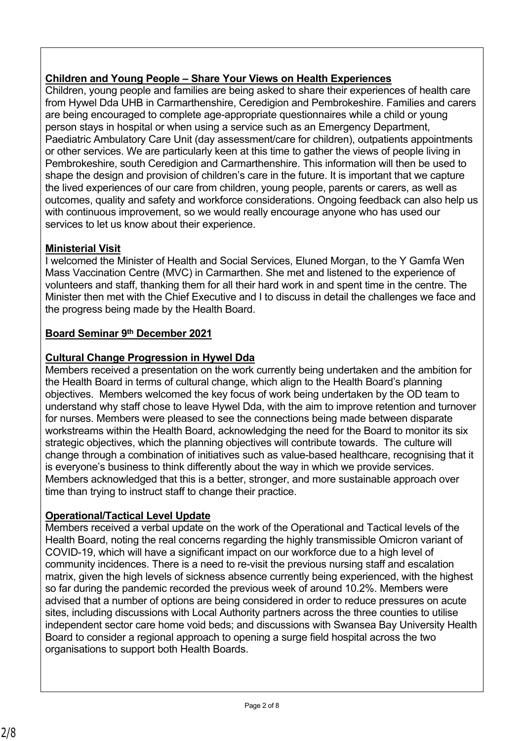# **Children and Young People – Share Your Views on Health Experiences**

Children, young people and families are being asked to share their experiences of health care from Hywel Dda UHB in Carmarthenshire, Ceredigion and Pembrokeshire. Families and carers are being encouraged to complete age-appropriate questionnaires while a child or young person stays in hospital or when using a service such as an Emergency Department, Paediatric Ambulatory Care Unit (day assessment/care for children), outpatients appointments or other services. We are particularly keen at this time to gather the views of people living in Pembrokeshire, south Ceredigion and Carmarthenshire. This information will then be used to shape the design and provision of children's care in the future. It is important that we capture the lived experiences of our care from children, young people, parents or carers, as well as outcomes, quality and safety and workforce considerations. Ongoing feedback can also help us with continuous improvement, so we would really encourage anyone who has used our services to let us know about their experience.

### **Ministerial Visit**

I welcomed the Minister of Health and Social Services, Eluned Morgan, to the Y Gamfa Wen Mass Vaccination Centre (MVC) in Carmarthen. She met and listened to the experience of volunteers and staff, thanking them for all their hard work in and spent time in the centre. The Minister then met with the Chief Executive and I to discuss in detail the challenges we face and the progress being made by the Health Board.

### **Board Seminar 9th December 2021**

## **Cultural Change Progression in Hywel Dda**

Members received a presentation on the work currently being undertaken and the ambition for the Health Board in terms of cultural change, which align to the Health Board's planning objectives. Members welcomed the key focus of work being undertaken by the OD team to understand why staff chose to leave Hywel Dda, with the aim to improve retention and turnover for nurses. Members were pleased to see the connections being made between disparate workstreams within the Health Board, acknowledging the need for the Board to monitor its six strategic objectives, which the planning objectives will contribute towards. The culture will change through a combination of initiatives such as value-based healthcare, recognising that it is everyone's business to think differently about the way in which we provide services. Members acknowledged that this is a better, stronger, and more sustainable approach over time than trying to instruct staff to change their practice.

## **Operational/Tactical Level Update**

Members received a verbal update on the work of the Operational and Tactical levels of the Health Board, noting the real concerns regarding the highly transmissible Omicron variant of COVID-19, which will have a significant impact on our workforce due to a high level of community incidences. There is a need to re-visit the previous nursing staff and escalation matrix, given the high levels of sickness absence currently being experienced, with the highest so far during the pandemic recorded the previous week of around 10.2%. Members were advised that a number of options are being considered in order to reduce pressures on acute sites, including discussions with Local Authority partners across the three counties to utilise independent sector care home void beds; and discussions with Swansea Bay University Health Board to consider a regional approach to opening a surge field hospital across the two organisations to support both Health Boards.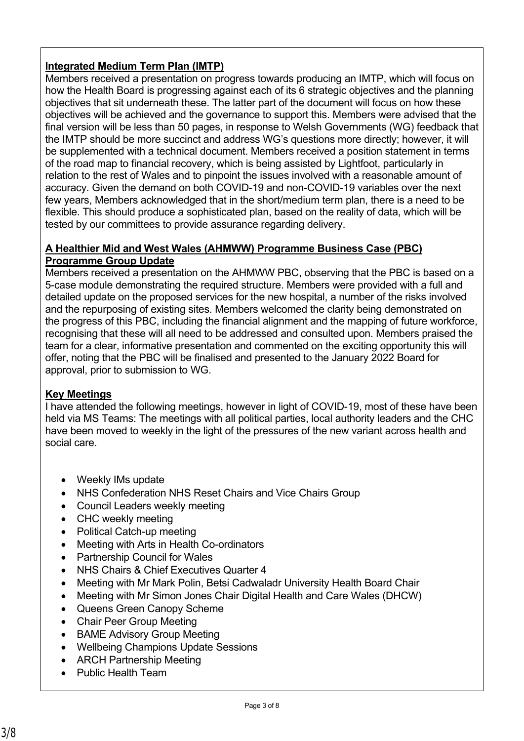## **Integrated Medium Term Plan (IMTP)**

Members received a presentation on progress towards producing an IMTP, which will focus on how the Health Board is progressing against each of its 6 strategic objectives and the planning objectives that sit underneath these. The latter part of the document will focus on how these objectives will be achieved and the governance to support this. Members were advised that the final version will be less than 50 pages, in response to Welsh Governments (WG) feedback that the IMTP should be more succinct and address WG's questions more directly; however, it will be supplemented with a technical document. Members received a position statement in terms of the road map to financial recovery, which is being assisted by Lightfoot, particularly in relation to the rest of Wales and to pinpoint the issues involved with a reasonable amount of accuracy. Given the demand on both COVID-19 and non-COVID-19 variables over the next few years, Members acknowledged that in the short/medium term plan, there is a need to be flexible. This should produce a sophisticated plan, based on the reality of data, which will be tested by our committees to provide assurance regarding delivery.

#### **A Healthier Mid and West Wales (AHMWW) Programme Business Case (PBC) Programme Group Update**

Members received a presentation on the AHMWW PBC, observing that the PBC is based on a 5-case module demonstrating the required structure. Members were provided with a full and detailed update on the proposed services for the new hospital, a number of the risks involved and the repurposing of existing sites. Members welcomed the clarity being demonstrated on the progress of this PBC, including the financial alignment and the mapping of future workforce, recognising that these will all need to be addressed and consulted upon. Members praised the team for a clear, informative presentation and commented on the exciting opportunity this will offer, noting that the PBC will be finalised and presented to the January 2022 Board for approval, prior to submission to WG.

#### **Key Meetings**

I have attended the following meetings, however in light of COVID-19, most of these have been held via MS Teams: The meetings with all political parties, local authority leaders and the CHC have been moved to weekly in the light of the pressures of the new variant across health and social care.

- Weekly IMs update
- NHS Confederation NHS Reset Chairs and Vice Chairs Group
- Council Leaders weekly meeting
- CHC weekly meeting
- Political Catch-up meeting
- Meeting with Arts in Health Co-ordinators
- Partnership Council for Wales
- NHS Chairs & Chief Executives Quarter 4
- Meeting with Mr Mark Polin, Betsi Cadwaladr University Health Board Chair
- Meeting with Mr Simon Jones Chair Digital Health and Care Wales (DHCW)
- Queens Green Canopy Scheme
- Chair Peer Group Meeting
- BAME Advisory Group Meeting
- Wellbeing Champions Update Sessions
- ARCH Partnership Meeting
- Public Health Team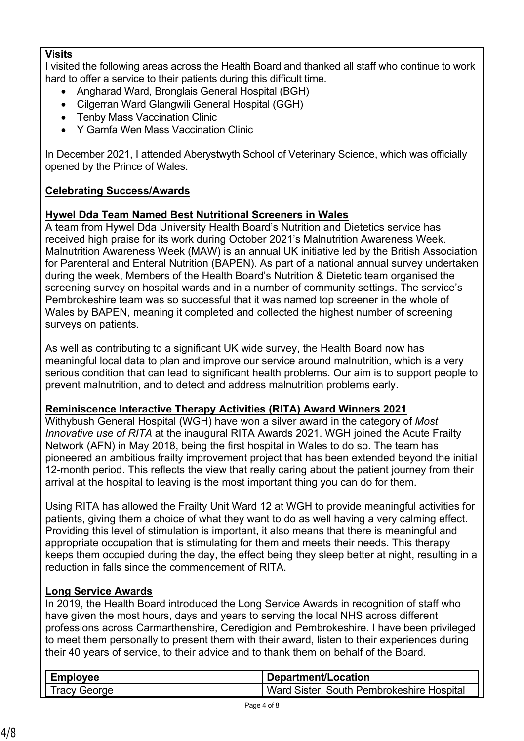### **Visits**

I visited the following areas across the Health Board and thanked all staff who continue to work hard to offer a service to their patients during this difficult time.

- Angharad Ward, Bronglais General Hospital (BGH)
- Cilgerran Ward Glangwili General Hospital (GGH)
- Tenby Mass Vaccination Clinic
- Y Gamfa Wen Mass Vaccination Clinic

In December 2021, I attended Aberystwyth School of Veterinary Science, which was officially opened by the Prince of Wales.

# **Celebrating Success/Awards**

## **Hywel Dda Team Named Best Nutritional Screeners in Wales**

A team from Hywel Dda University Health Board's Nutrition and Dietetics service has received high praise for its work during October 2021's Malnutrition Awareness Week. Malnutrition Awareness Week (MAW) is an annual UK initiative led by the British Association for Parenteral and Enteral Nutrition (BAPEN). As part of a national annual survey undertaken during the week, Members of the Health Board's Nutrition & Dietetic team organised the screening survey on hospital wards and in a number of community settings. The service's Pembrokeshire team was so successful that it was named top screener in the whole of Wales by BAPEN, meaning it completed and collected the highest number of screening surveys on patients.

As well as contributing to a significant UK wide survey, the Health Board now has meaningful local data to plan and improve our service around malnutrition, which is a very serious condition that can lead to significant health problems. Our aim is to support people to prevent malnutrition, and to detect and address malnutrition problems early.

## **Reminiscence Interactive Therapy Activities (RITA) Award Winners 2021**

Withybush General Hospital (WGH) have won a silver award in the category of *Most Innovative use of RITA* at the inaugural RITA Awards 2021. WGH joined the Acute Frailty Network (AFN) in May 2018, being the first hospital in Wales to do so. The team has pioneered an ambitious frailty improvement project that has been extended beyond the initial 12-month period. This reflects the view that really caring about the patient journey from their arrival at the hospital to leaving is the most important thing you can do for them.

Using RITA has allowed the Frailty Unit Ward 12 at WGH to provide meaningful activities for patients, giving them a choice of what they want to do as well having a very calming effect. Providing this level of stimulation is important, it also means that there is meaningful and appropriate occupation that is stimulating for them and meets their needs. This therapy keeps them occupied during the day, the effect being they sleep better at night, resulting in a reduction in falls since the commencement of RITA.

# **Long Service Awards**

In 2019, the Health Board introduced the Long Service Awards in recognition of staff who have given the most hours, days and years to serving the local NHS across different professions across Carmarthenshire, Ceredigion and Pembrokeshire. I have been privileged to meet them personally to present them with their award, listen to their experiences during their 40 years of service, to their advice and to thank them on behalf of the Board.

| <b>Employee</b> | Department/Location                       |
|-----------------|-------------------------------------------|
| Tracy George    | Ward Sister, South Pembrokeshire Hospital |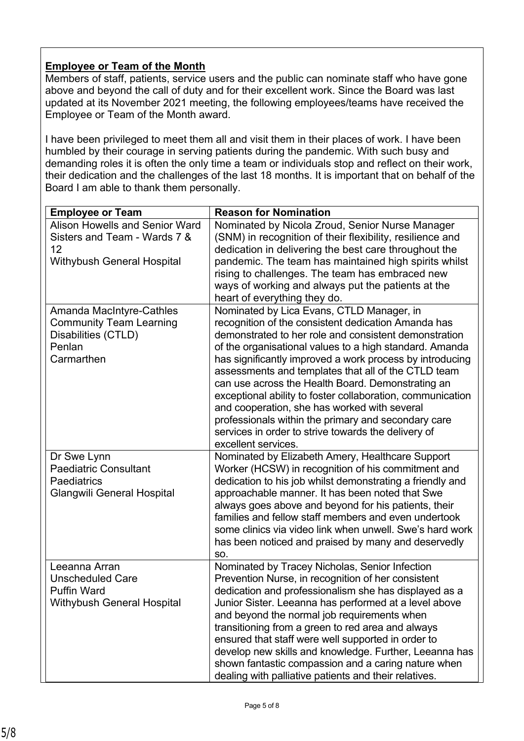## **Employee or Team of the Month**

Members of staff, patients, service users and the public can nominate staff who have gone above and beyond the call of duty and for their excellent work. Since the Board was last updated at its November 2021 meeting, the following employees/teams have received the Employee or Team of the Month award.

I have been privileged to meet them all and visit them in their places of work. I have been humbled by their courage in serving patients during the pandemic. With such busy and demanding roles it is often the only time a team or individuals stop and reflect on their work, their dedication and the challenges of the last 18 months. It is important that on behalf of the Board I am able to thank them personally.

| <b>Employee or Team</b>                                                                                                       | <b>Reason for Nomination</b>                                                                                                                                                                                                                                                                                                                                                                                                                                                                                                                                                                                                                    |
|-------------------------------------------------------------------------------------------------------------------------------|-------------------------------------------------------------------------------------------------------------------------------------------------------------------------------------------------------------------------------------------------------------------------------------------------------------------------------------------------------------------------------------------------------------------------------------------------------------------------------------------------------------------------------------------------------------------------------------------------------------------------------------------------|
| <b>Alison Howells and Senior Ward</b><br>Sisters and Team - Wards 7 &<br>12 <sup>2</sup><br><b>Withybush General Hospital</b> | Nominated by Nicola Zroud, Senior Nurse Manager<br>(SNM) in recognition of their flexibility, resilience and<br>dedication in delivering the best care throughout the<br>pandemic. The team has maintained high spirits whilst<br>rising to challenges. The team has embraced new<br>ways of working and always put the patients at the<br>heart of everything they do.                                                                                                                                                                                                                                                                         |
| <b>Amanda MacIntyre-Cathles</b><br><b>Community Team Learning</b><br>Disabilities (CTLD)<br>Penlan<br>Carmarthen              | Nominated by Lica Evans, CTLD Manager, in<br>recognition of the consistent dedication Amanda has<br>demonstrated to her role and consistent demonstration<br>of the organisational values to a high standard. Amanda<br>has significantly improved a work process by introducing<br>assessments and templates that all of the CTLD team<br>can use across the Health Board. Demonstrating an<br>exceptional ability to foster collaboration, communication<br>and cooperation, she has worked with several<br>professionals within the primary and secondary care<br>services in order to strive towards the delivery of<br>excellent services. |
| Dr Swe Lynn<br><b>Paediatric Consultant</b><br><b>Paediatrics</b><br><b>Glangwili General Hospital</b>                        | Nominated by Elizabeth Amery, Healthcare Support<br>Worker (HCSW) in recognition of his commitment and<br>dedication to his job whilst demonstrating a friendly and<br>approachable manner. It has been noted that Swe<br>always goes above and beyond for his patients, their<br>families and fellow staff members and even undertook<br>some clinics via video link when unwell. Swe's hard work<br>has been noticed and praised by many and deservedly<br>SO.                                                                                                                                                                                |
| Leeanna Arran<br><b>Unscheduled Care</b><br><b>Puffin Ward</b><br><b>Withybush General Hospital</b>                           | Nominated by Tracey Nicholas, Senior Infection<br>Prevention Nurse, in recognition of her consistent<br>dedication and professionalism she has displayed as a<br>Junior Sister. Leeanna has performed at a level above<br>and beyond the normal job requirements when<br>transitioning from a green to red area and always<br>ensured that staff were well supported in order to<br>develop new skills and knowledge. Further, Leeanna has<br>shown fantastic compassion and a caring nature when<br>dealing with palliative patients and their relatives.                                                                                      |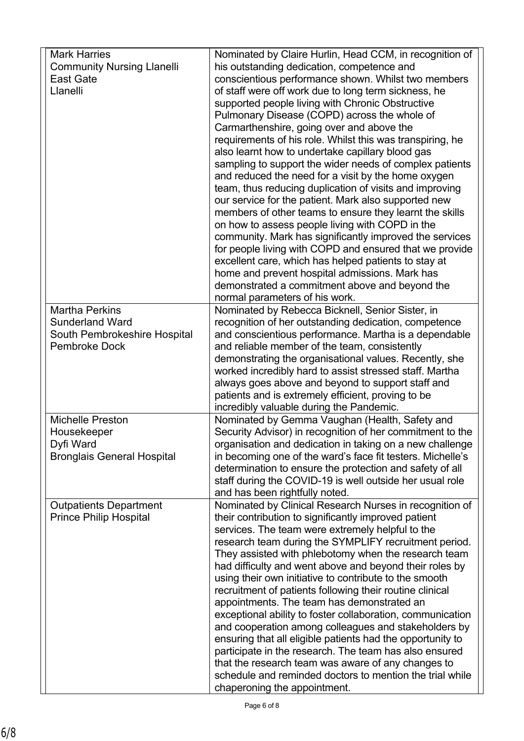| <b>Mark Harries</b><br>Nominated by Claire Hurlin, Head CCM, in recognition of<br><b>Community Nursing Llanelli</b><br>his outstanding dedication, competence and |  |
|-------------------------------------------------------------------------------------------------------------------------------------------------------------------|--|
|                                                                                                                                                                   |  |
| conscientious performance shown. Whilst two members<br><b>East Gate</b>                                                                                           |  |
| Llanelli<br>of staff were off work due to long term sickness, he                                                                                                  |  |
| supported people living with Chronic Obstructive                                                                                                                  |  |
| Pulmonary Disease (COPD) across the whole of                                                                                                                      |  |
| Carmarthenshire, going over and above the                                                                                                                         |  |
| requirements of his role. Whilst this was transpiring, he                                                                                                         |  |
| also learnt how to undertake capillary blood gas                                                                                                                  |  |
| sampling to support the wider needs of complex patients                                                                                                           |  |
|                                                                                                                                                                   |  |
| and reduced the need for a visit by the home oxygen<br>team, thus reducing duplication of visits and improving                                                    |  |
|                                                                                                                                                                   |  |
| our service for the patient. Mark also supported new                                                                                                              |  |
| members of other teams to ensure they learnt the skills                                                                                                           |  |
| on how to assess people living with COPD in the                                                                                                                   |  |
| community. Mark has significantly improved the services                                                                                                           |  |
| for people living with COPD and ensured that we provide                                                                                                           |  |
| excellent care, which has helped patients to stay at                                                                                                              |  |
| home and prevent hospital admissions. Mark has                                                                                                                    |  |
| demonstrated a commitment above and beyond the                                                                                                                    |  |
| normal parameters of his work.                                                                                                                                    |  |
| <b>Martha Perkins</b><br>Nominated by Rebecca Bicknell, Senior Sister, in                                                                                         |  |
| <b>Sunderland Ward</b><br>recognition of her outstanding dedication, competence                                                                                   |  |
| South Pembrokeshire Hospital<br>and conscientious performance. Martha is a dependable                                                                             |  |
| <b>Pembroke Dock</b><br>and reliable member of the team, consistently                                                                                             |  |
| demonstrating the organisational values. Recently, she                                                                                                            |  |
| worked incredibly hard to assist stressed staff. Martha                                                                                                           |  |
| always goes above and beyond to support staff and                                                                                                                 |  |
| patients and is extremely efficient, proving to be                                                                                                                |  |
| incredibly valuable during the Pandemic.                                                                                                                          |  |
| Nominated by Gemma Vaughan (Health, Safety and<br><b>Michelle Preston</b>                                                                                         |  |
| Security Advisor) in recognition of her commitment to the<br>Housekeeper                                                                                          |  |
| Dyfi Ward<br>organisation and dedication in taking on a new challenge                                                                                             |  |
| <b>Bronglais General Hospital</b><br>in becoming one of the ward's face fit testers. Michelle's                                                                   |  |
| determination to ensure the protection and safety of all                                                                                                          |  |
| staff during the COVID-19 is well outside her usual role                                                                                                          |  |
| and has been rightfully noted.                                                                                                                                    |  |
| Nominated by Clinical Research Nurses in recognition of<br><b>Outpatients Department</b>                                                                          |  |
| their contribution to significantly improved patient<br><b>Prince Philip Hospital</b>                                                                             |  |
| services. The team were extremely helpful to the                                                                                                                  |  |
| research team during the SYMPLIFY recruitment period.                                                                                                             |  |
| They assisted with phlebotomy when the research team                                                                                                              |  |
| had difficulty and went above and beyond their roles by                                                                                                           |  |
| using their own initiative to contribute to the smooth                                                                                                            |  |
| recruitment of patients following their routine clinical                                                                                                          |  |
| appointments. The team has demonstrated an                                                                                                                        |  |
| exceptional ability to foster collaboration, communication                                                                                                        |  |
| and cooperation among colleagues and stakeholders by                                                                                                              |  |
| ensuring that all eligible patients had the opportunity to                                                                                                        |  |
| participate in the research. The team has also ensured                                                                                                            |  |
| that the research team was aware of any changes to                                                                                                                |  |
| schedule and reminded doctors to mention the trial while                                                                                                          |  |
| chaperoning the appointment.                                                                                                                                      |  |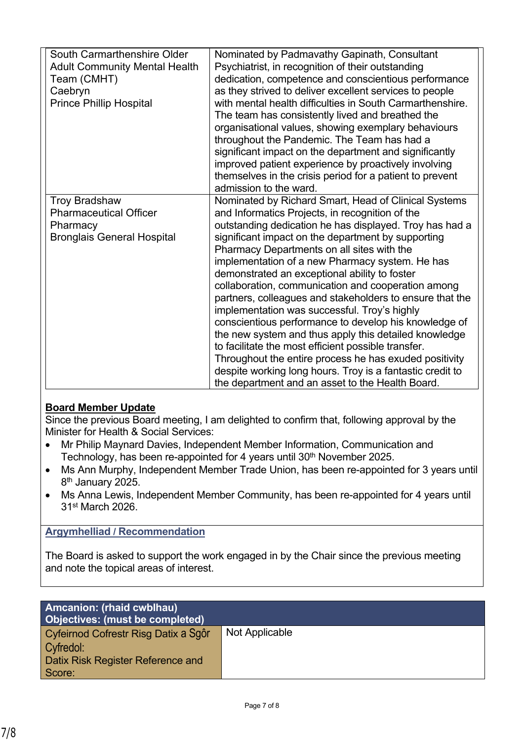| South Carmarthenshire Older<br><b>Adult Community Mental Health</b><br>Team (CMHT)<br>Caebryn<br><b>Prince Phillip Hospital</b> | Nominated by Padmavathy Gapinath, Consultant<br>Psychiatrist, in recognition of their outstanding<br>dedication, competence and conscientious performance<br>as they strived to deliver excellent services to people<br>with mental health difficulties in South Carmarthenshire.<br>The team has consistently lived and breathed the<br>organisational values, showing exemplary behaviours<br>throughout the Pandemic. The Team has had a<br>significant impact on the department and significantly<br>improved patient experience by proactively involving<br>themselves in the crisis period for a patient to prevent<br>admission to the ward.                                                                                                                                                                                                                                              |
|---------------------------------------------------------------------------------------------------------------------------------|--------------------------------------------------------------------------------------------------------------------------------------------------------------------------------------------------------------------------------------------------------------------------------------------------------------------------------------------------------------------------------------------------------------------------------------------------------------------------------------------------------------------------------------------------------------------------------------------------------------------------------------------------------------------------------------------------------------------------------------------------------------------------------------------------------------------------------------------------------------------------------------------------|
| <b>Troy Bradshaw</b><br><b>Pharmaceutical Officer</b><br>Pharmacy<br><b>Bronglais General Hospital</b>                          | Nominated by Richard Smart, Head of Clinical Systems<br>and Informatics Projects, in recognition of the<br>outstanding dedication he has displayed. Troy has had a<br>significant impact on the department by supporting<br>Pharmacy Departments on all sites with the<br>implementation of a new Pharmacy system. He has<br>demonstrated an exceptional ability to foster<br>collaboration, communication and cooperation among<br>partners, colleagues and stakeholders to ensure that the<br>implementation was successful. Troy's highly<br>conscientious performance to develop his knowledge of<br>the new system and thus apply this detailed knowledge<br>to facilitate the most efficient possible transfer.<br>Throughout the entire process he has exuded positivity<br>despite working long hours. Troy is a fantastic credit to<br>the department and an asset to the Health Board. |

#### **Board Member Update**

Since the previous Board meeting, I am delighted to confirm that, following approval by the Minister for Health & Social Services:

- Mr Philip Maynard Davies, Independent Member Information, Communication and Technology, has been re-appointed for 4 years until 30<sup>th</sup> November 2025.
- Ms Ann Murphy, Independent Member Trade Union, has been re-appointed for 3 years until 8<sup>th</sup> January 2025.
- Ms Anna Lewis, Independent Member Community, has been re-appointed for 4 years until 31st March 2026.

#### **Argymhelliad / Recommendation**

The Board is asked to support the work engaged in by the Chair since the previous meeting and note the topical areas of interest.

| <b>Amcanion: (rhaid cwblhau)</b><br><b>Objectives: (must be completed)</b> |                |
|----------------------------------------------------------------------------|----------------|
| Cyfeirnod Cofrestr Risg Datix a Sgôr                                       | Not Applicable |
| Cyfredol:                                                                  |                |
| <b>Datix Risk Register Reference and</b>                                   |                |
| Score:                                                                     |                |